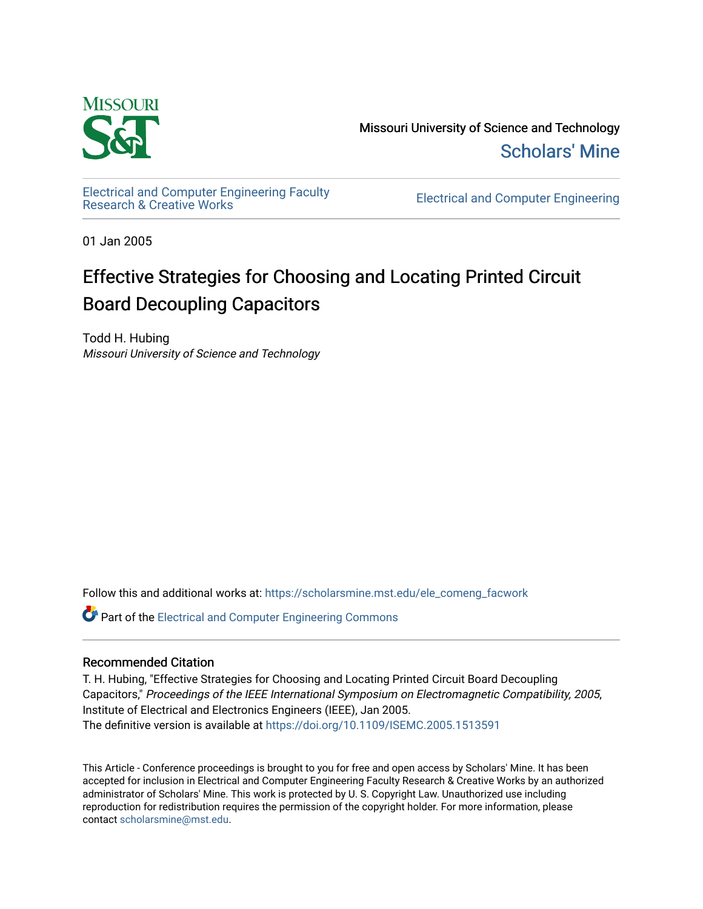

Missouri University of Science and Technology [Scholars' Mine](https://scholarsmine.mst.edu/) 

[Electrical and Computer Engineering Faculty](https://scholarsmine.mst.edu/ele_comeng_facwork)

**Electrical and Computer Engineering** 

01 Jan 2005

# Effective Strategies for Choosing and Locating Printed Circuit Board Decoupling Capacitors

Todd H. Hubing Missouri University of Science and Technology

Follow this and additional works at: [https://scholarsmine.mst.edu/ele\\_comeng\\_facwork](https://scholarsmine.mst.edu/ele_comeng_facwork?utm_source=scholarsmine.mst.edu%2Fele_comeng_facwork%2F1573&utm_medium=PDF&utm_campaign=PDFCoverPages)

**C** Part of the Electrical and Computer Engineering Commons

# Recommended Citation

T. H. Hubing, "Effective Strategies for Choosing and Locating Printed Circuit Board Decoupling Capacitors," Proceedings of the IEEE International Symposium on Electromagnetic Compatibility, 2005, Institute of Electrical and Electronics Engineers (IEEE), Jan 2005. The definitive version is available at <https://doi.org/10.1109/ISEMC.2005.1513591>

This Article - Conference proceedings is brought to you for free and open access by Scholars' Mine. It has been accepted for inclusion in Electrical and Computer Engineering Faculty Research & Creative Works by an authorized administrator of Scholars' Mine. This work is protected by U. S. Copyright Law. Unauthorized use including reproduction for redistribution requires the permission of the copyright holder. For more information, please contact [scholarsmine@mst.edu](mailto:scholarsmine@mst.edu).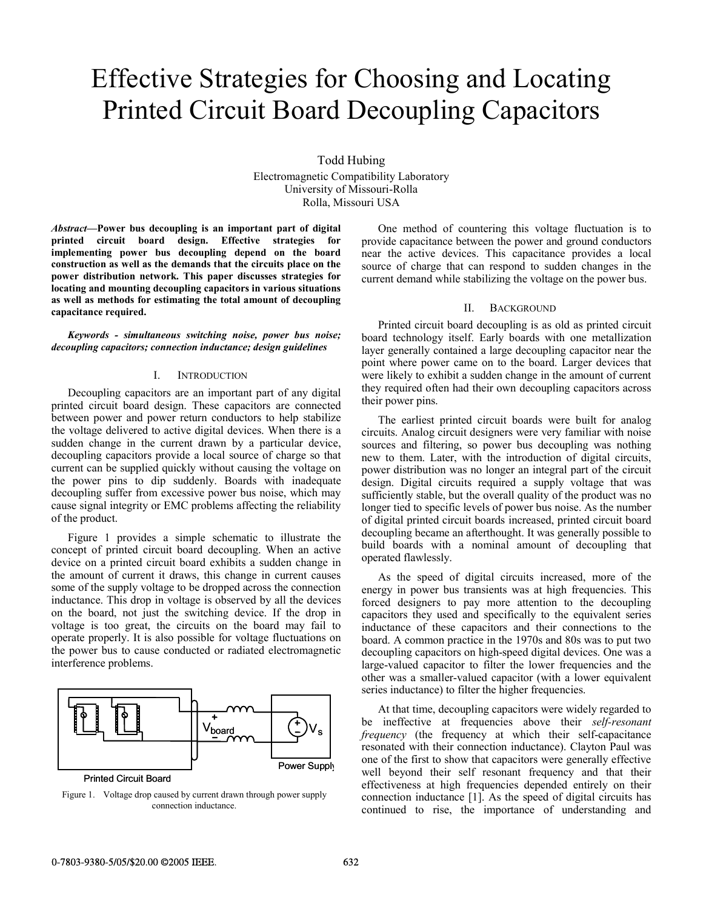# Effective Strategies for Choosing and Locating Printed Circuit Board Decoupling Capacitors

Todd Hubing Electromagnetic Compatibility Laboratory University of Missouri-Rolla Rolla, Missouri USA

*Abstract***—Power bus decoupling is an important part of digital printed circuit board design. Effective strategies for implementing power bus decoupling depend on the board construction as well as the demands that the circuits place on the power distribution network. This paper discusses strategies for locating and mounting decoupling capacitors in various situations as well as methods for estimating the total amount of decoupling capacitance required.** 

*Keywords - simultaneous switching noise, power bus noise; decoupling capacitors; connection inductance; design guidelines* 

#### I. INTRODUCTION

Decoupling capacitors are an important part of any digital printed circuit board design. These capacitors are connected between power and power return conductors to help stabilize the voltage delivered to active digital devices. When there is a sudden change in the current drawn by a particular device, decoupling capacitors provide a local source of charge so that current can be supplied quickly without causing the voltage on the power pins to dip suddenly. Boards with inadequate decoupling suffer from excessive power bus noise, which may cause signal integrity or EMC problems affecting the reliability of the product.

Figure 1 provides a simple schematic to illustrate the concept of printed circuit board decoupling. When an active device on a printed circuit board exhibits a sudden change in the amount of current it draws, this change in current causes some of the supply voltage to be dropped across the connection inductance. This drop in voltage is observed by all the devices on the board, not just the switching device. If the drop in voltage is too great, the circuits on the board may fail to operate properly. It is also possible for voltage fluctuations on the power bus to cause conducted or radiated electromagnetic interference problems.



Printed Circuit Board

Figure 1. Voltage drop caused by current drawn through power supply connection inductance.

One method of countering this voltage fluctuation is to provide capacitance between the power and ground conductors near the active devices. This capacitance provides a local source of charge that can respond to sudden changes in the current demand while stabilizing the voltage on the power bus.

#### II. BACKGROUND

Printed circuit board decoupling is as old as printed circuit board technology itself. Early boards with one metallization layer generally contained a large decoupling capacitor near the point where power came on to the board. Larger devices that were likely to exhibit a sudden change in the amount of current they required often had their own decoupling capacitors across their power pins.

The earliest printed circuit boards were built for analog circuits. Analog circuit designers were very familiar with noise sources and filtering, so power bus decoupling was nothing new to them. Later, with the introduction of digital circuits, power distribution was no longer an integral part of the circuit design. Digital circuits required a supply voltage that was sufficiently stable, but the overall quality of the product was no longer tied to specific levels of power bus noise. As the number of digital printed circuit boards increased, printed circuit board decoupling became an afterthought. It was generally possible to build boards with a nominal amount of decoupling that operated flawlessly.

As the speed of digital circuits increased, more of the energy in power bus transients was at high frequencies. This forced designers to pay more attention to the decoupling capacitors they used and specifically to the equivalent series inductance of these capacitors and their connections to the board. A common practice in the 1970s and 80s was to put two decoupling capacitors on high-speed digital devices. One was a large-valued capacitor to filter the lower frequencies and the other was a smaller-valued capacitor (with a lower equivalent series inductance) to filter the higher frequencies.

At that time, decoupling capacitors were widely regarded to be ineffective at frequencies above their *self-resonant frequency* (the frequency at which their self-capacitance resonated with their connection inductance). Clayton Paul was one of the first to show that capacitors were generally effective well beyond their self resonant frequency and that their effectiveness at high frequencies depended entirely on their connection inductance [1]. As the speed of digital circuits has continued to rise, the importance of understanding and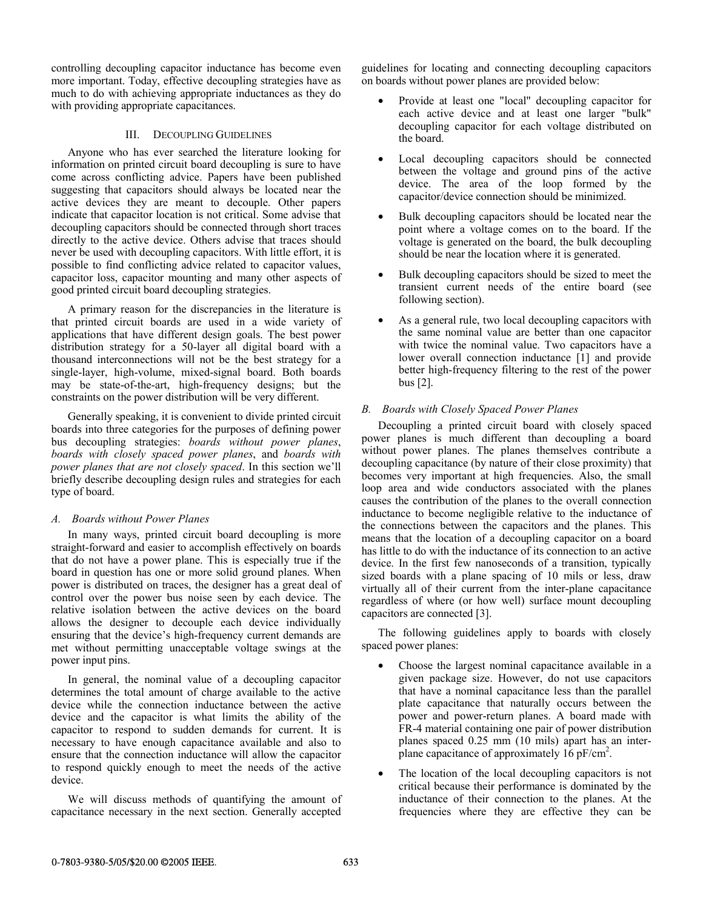controlling decoupling capacitor inductance has become even more important. Today, effective decoupling strategies have as much to do with achieving appropriate inductances as they do with providing appropriate capacitances.

# III. DECOUPLING GUIDELINES

Anyone who has ever searched the literature looking for information on printed circuit board decoupling is sure to have come across conflicting advice. Papers have been published suggesting that capacitors should always be located near the active devices they are meant to decouple. Other papers indicate that capacitor location is not critical. Some advise that decoupling capacitors should be connected through short traces directly to the active device. Others advise that traces should never be used with decoupling capacitors. With little effort, it is possible to find conflicting advice related to capacitor values, capacitor loss, capacitor mounting and many other aspects of good printed circuit board decoupling strategies.

A primary reason for the discrepancies in the literature is that printed circuit boards are used in a wide variety of applications that have different design goals. The best power distribution strategy for a 50-layer all digital board with a thousand interconnections will not be the best strategy for a single-layer, high-volume, mixed-signal board. Both boards may be state-of-the-art, high-frequency designs; but the constraints on the power distribution will be very different.

Generally speaking, it is convenient to divide printed circuit boards into three categories for the purposes of defining power bus decoupling strategies: *boards without power planes*, *boards with closely spaced power planes*, and *boards with power planes that are not closely spaced*. In this section we'll briefly describe decoupling design rules and strategies for each type of board.

# *A. Boards without Power Planes*

In many ways, printed circuit board decoupling is more straight-forward and easier to accomplish effectively on boards that do not have a power plane. This is especially true if the board in question has one or more solid ground planes. When power is distributed on traces, the designer has a great deal of control over the power bus noise seen by each device. The relative isolation between the active devices on the board allows the designer to decouple each device individually ensuring that the device's high-frequency current demands are met without permitting unacceptable voltage swings at the power input pins.

In general, the nominal value of a decoupling capacitor determines the total amount of charge available to the active device while the connection inductance between the active device and the capacitor is what limits the ability of the capacitor to respond to sudden demands for current. It is necessary to have enough capacitance available and also to ensure that the connection inductance will allow the capacitor to respond quickly enough to meet the needs of the active device.

We will discuss methods of quantifying the amount of capacitance necessary in the next section. Generally accepted

guidelines for locating and connecting decoupling capacitors on boards without power planes are provided below:

- Provide at least one "local" decoupling capacitor for each active device and at least one larger "bulk" decoupling capacitor for each voltage distributed on the board.
- Local decoupling capacitors should be connected between the voltage and ground pins of the active device. The area of the loop formed by the capacitor/device connection should be minimized.
- Bulk decoupling capacitors should be located near the point where a voltage comes on to the board. If the voltage is generated on the board, the bulk decoupling should be near the location where it is generated.
- Bulk decoupling capacitors should be sized to meet the transient current needs of the entire board (see following section).
- As a general rule, two local decoupling capacitors with the same nominal value are better than one capacitor with twice the nominal value. Two capacitors have a lower overall connection inductance [1] and provide better high-frequency filtering to the rest of the power bus [2].

# *B. Boards with Closely Spaced Power Planes*

Decoupling a printed circuit board with closely spaced power planes is much different than decoupling a board without power planes. The planes themselves contribute a decoupling capacitance (by nature of their close proximity) that becomes very important at high frequencies. Also, the small loop area and wide conductors associated with the planes causes the contribution of the planes to the overall connection inductance to become negligible relative to the inductance of the connections between the capacitors and the planes. This means that the location of a decoupling capacitor on a board has little to do with the inductance of its connection to an active device. In the first few nanoseconds of a transition, typically sized boards with a plane spacing of 10 mils or less, draw virtually all of their current from the inter-plane capacitance regardless of where (or how well) surface mount decoupling capacitors are connected [3].

The following guidelines apply to boards with closely spaced power planes:

- Choose the largest nominal capacitance available in a given package size. However, do not use capacitors that have a nominal capacitance less than the parallel plate capacitance that naturally occurs between the power and power-return planes. A board made with FR-4 material containing one pair of power distribution planes spaced 0.25 mm (10 mils) apart has an interplane capacitance of approximately  $16 \text{ pF/cm}^2$ .
- The location of the local decoupling capacitors is not critical because their performance is dominated by the inductance of their connection to the planes. At the frequencies where they are effective they can be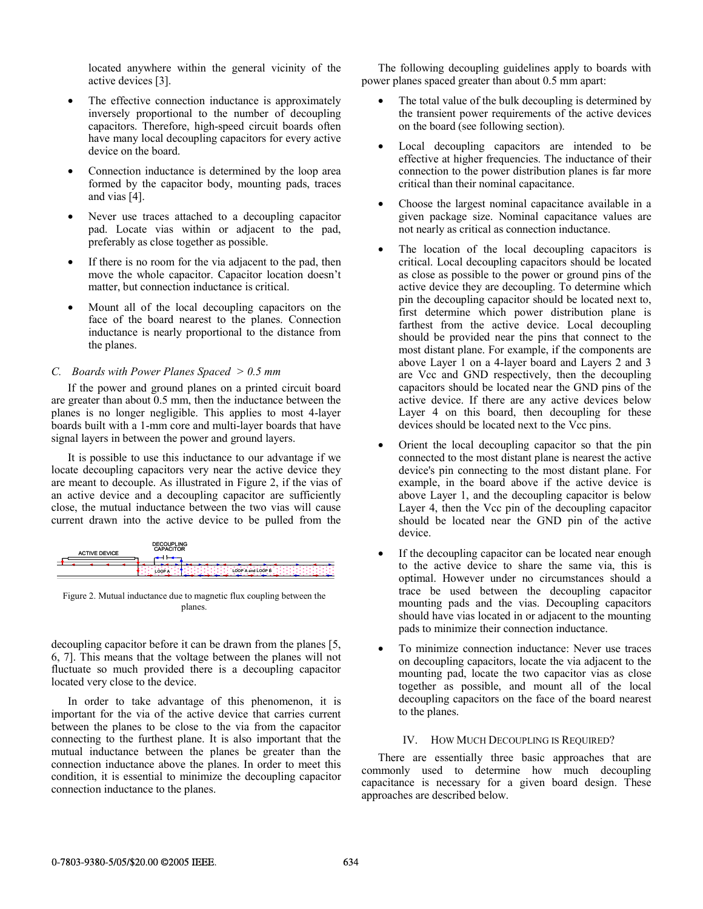located anywhere within the general vicinity of the active devices [3].

- The effective connection inductance is approximately inversely proportional to the number of decoupling capacitors. Therefore, high-speed circuit boards often have many local decoupling capacitors for every active device on the board.
- Connection inductance is determined by the loop area formed by the capacitor body, mounting pads, traces and vias [4].
- Never use traces attached to a decoupling capacitor pad. Locate vias within or adjacent to the pad, preferably as close together as possible.
- If there is no room for the via adjacent to the pad, then move the whole capacitor. Capacitor location doesn't matter, but connection inductance is critical.
- Mount all of the local decoupling capacitors on the face of the board nearest to the planes. Connection inductance is nearly proportional to the distance from the planes.

# *C. Boards with Power Planes Spaced > 0.5 mm*

If the power and ground planes on a printed circuit board are greater than about 0.5 mm, then the inductance between the planes is no longer negligible. This applies to most 4-layer boards built with a 1-mm core and multi-layer boards that have signal layers in between the power and ground layers.

It is possible to use this inductance to our advantage if we locate decoupling capacitors very near the active device they are meant to decouple. As illustrated in Figure 2, if the vias of an active device and a decoupling capacitor are sufficiently close, the mutual inductance between the two vias will cause current drawn into the active device to be pulled from the

| <b>ACTIVE DEVICE</b> | <b>DECOUPLING</b><br><b>CAPACITOR</b>     |
|----------------------|-------------------------------------------|
|                      |                                           |
|                      | <b>LOOP A and LOOP B</b><br><b>LOOP A</b> |

Figure 2. Mutual inductance due to magnetic flux coupling between the planes.

decoupling capacitor before it can be drawn from the planes [5, 6, 7]. This means that the voltage between the planes will not fluctuate so much provided there is a decoupling capacitor located very close to the device.

In order to take advantage of this phenomenon, it is important for the via of the active device that carries current between the planes to be close to the via from the capacitor connecting to the furthest plane. It is also important that the mutual inductance between the planes be greater than the connection inductance above the planes. In order to meet this condition, it is essential to minimize the decoupling capacitor connection inductance to the planes.

The following decoupling guidelines apply to boards with power planes spaced greater than about 0.5 mm apart:

- The total value of the bulk decoupling is determined by the transient power requirements of the active devices on the board (see following section).
- Local decoupling capacitors are intended to be effective at higher frequencies. The inductance of their connection to the power distribution planes is far more critical than their nominal capacitance.
- Choose the largest nominal capacitance available in a given package size. Nominal capacitance values are not nearly as critical as connection inductance.
- The location of the local decoupling capacitors is critical. Local decoupling capacitors should be located as close as possible to the power or ground pins of the active device they are decoupling. To determine which pin the decoupling capacitor should be located next to, first determine which power distribution plane is farthest from the active device. Local decoupling should be provided near the pins that connect to the most distant plane. For example, if the components are above Layer 1 on a 4-layer board and Layers 2 and 3 are Vcc and GND respectively, then the decoupling capacitors should be located near the GND pins of the active device. If there are any active devices below Layer 4 on this board, then decoupling for these devices should be located next to the Vcc pins.
- Orient the local decoupling capacitor so that the pin connected to the most distant plane is nearest the active device's pin connecting to the most distant plane. For example, in the board above if the active device is above Layer 1, and the decoupling capacitor is below Layer 4, then the Vcc pin of the decoupling capacitor should be located near the GND pin of the active device.
- If the decoupling capacitor can be located near enough to the active device to share the same via, this is optimal. However under no circumstances should a trace be used between the decoupling capacitor mounting pads and the vias. Decoupling capacitors should have vias located in or adjacent to the mounting pads to minimize their connection inductance.
- To minimize connection inductance: Never use traces on decoupling capacitors, locate the via adjacent to the mounting pad, locate the two capacitor vias as close together as possible, and mount all of the local decoupling capacitors on the face of the board nearest to the planes.

#### IV. HOW MUCH DECOUPLING IS REQUIRED?

There are essentially three basic approaches that are commonly used to determine how much decoupling capacitance is necessary for a given board design. These approaches are described below.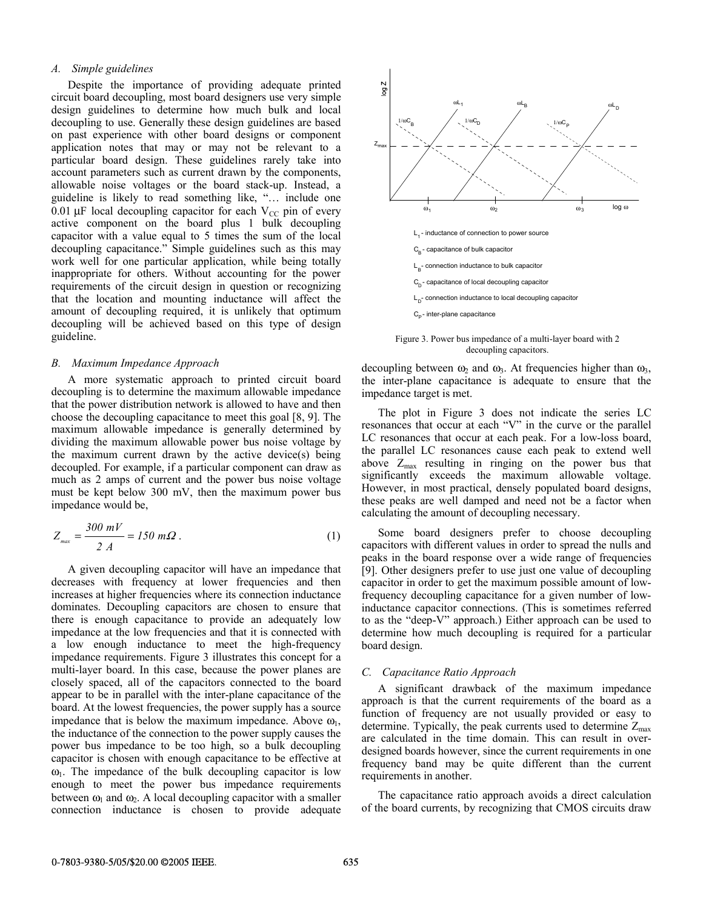### *A. Simple guidelines*

Despite the importance of providing adequate printed circuit board decoupling, most board designers use very simple design guidelines to determine how much bulk and local decoupling to use. Generally these design guidelines are based on past experience with other board designs or component application notes that may or may not be relevant to a particular board design. These guidelines rarely take into account parameters such as current drawn by the components, allowable noise voltages or the board stack-up. Instead, a guideline is likely to read something like, "… include one 0.01  $\mu$ F local decoupling capacitor for each V<sub>CC</sub> pin of every active component on the board plus 1 bulk decoupling capacitor with a value equal to 5 times the sum of the local decoupling capacitance." Simple guidelines such as this may work well for one particular application, while being totally inappropriate for others. Without accounting for the power requirements of the circuit design in question or recognizing that the location and mounting inductance will affect the amount of decoupling required, it is unlikely that optimum decoupling will be achieved based on this type of design guideline.

#### *B. Maximum Impedance Approach*

A more systematic approach to printed circuit board decoupling is to determine the maximum allowable impedance that the power distribution network is allowed to have and then choose the decoupling capacitance to meet this goal [8, 9]. The maximum allowable impedance is generally determined by dividing the maximum allowable power bus noise voltage by the maximum current drawn by the active device(s) being decoupled. For example, if a particular component can draw as much as 2 amps of current and the power bus noise voltage must be kept below 300 mV, then the maximum power bus impedance would be,

$$
Z_{\text{max}} = \frac{300 \text{ mV}}{2 \text{ A}} = 150 \text{ m}\Omega \,. \tag{1}
$$

A given decoupling capacitor will have an impedance that decreases with frequency at lower frequencies and then increases at higher frequencies where its connection inductance dominates. Decoupling capacitors are chosen to ensure that there is enough capacitance to provide an adequately low impedance at the low frequencies and that it is connected with a low enough inductance to meet the high-frequency impedance requirements. Figure 3 illustrates this concept for a multi-layer board. In this case, because the power planes are closely spaced, all of the capacitors connected to the board appear to be in parallel with the inter-plane capacitance of the board. At the lowest frequencies, the power supply has a source impedance that is below the maximum impedance. Above  $\omega_1$ , the inductance of the connection to the power supply causes the power bus impedance to be too high, so a bulk decoupling capacitor is chosen with enough capacitance to be effective at  $\omega_1$ . The impedance of the bulk decoupling capacitor is low enough to meet the power bus impedance requirements between  $\omega_1$  and  $\omega_2$ . A local decoupling capacitor with a smaller connection inductance is chosen to provide adequate



Figure 3. Power bus impedance of a multi-layer board with 2 decoupling capacitors.

decoupling between  $\omega_2$  and  $\omega_3$ . At frequencies higher than  $\omega_3$ , the inter-plane capacitance is adequate to ensure that the impedance target is met.

The plot in Figure 3 does not indicate the series LC resonances that occur at each "V" in the curve or the parallel LC resonances that occur at each peak. For a low-loss board, the parallel LC resonances cause each peak to extend well above  $Z_{\text{max}}$  resulting in ringing on the power bus that significantly exceeds the maximum allowable voltage. However, in most practical, densely populated board designs, these peaks are well damped and need not be a factor when calculating the amount of decoupling necessary.

Some board designers prefer to choose decoupling capacitors with different values in order to spread the nulls and peaks in the board response over a wide range of frequencies [9]. Other designers prefer to use just one value of decoupling capacitor in order to get the maximum possible amount of lowfrequency decoupling capacitance for a given number of lowinductance capacitor connections. (This is sometimes referred to as the "deep-V" approach.) Either approach can be used to determine how much decoupling is required for a particular board design.

#### *C. Capacitance Ratio Approach*

A significant drawback of the maximum impedance approach is that the current requirements of the board as a function of frequency are not usually provided or easy to determine. Typically, the peak currents used to determine  $Z_{\text{max}}$ are calculated in the time domain. This can result in overdesigned boards however, since the current requirements in one frequency band may be quite different than the current requirements in another.

The capacitance ratio approach avoids a direct calculation of the board currents, by recognizing that CMOS circuits draw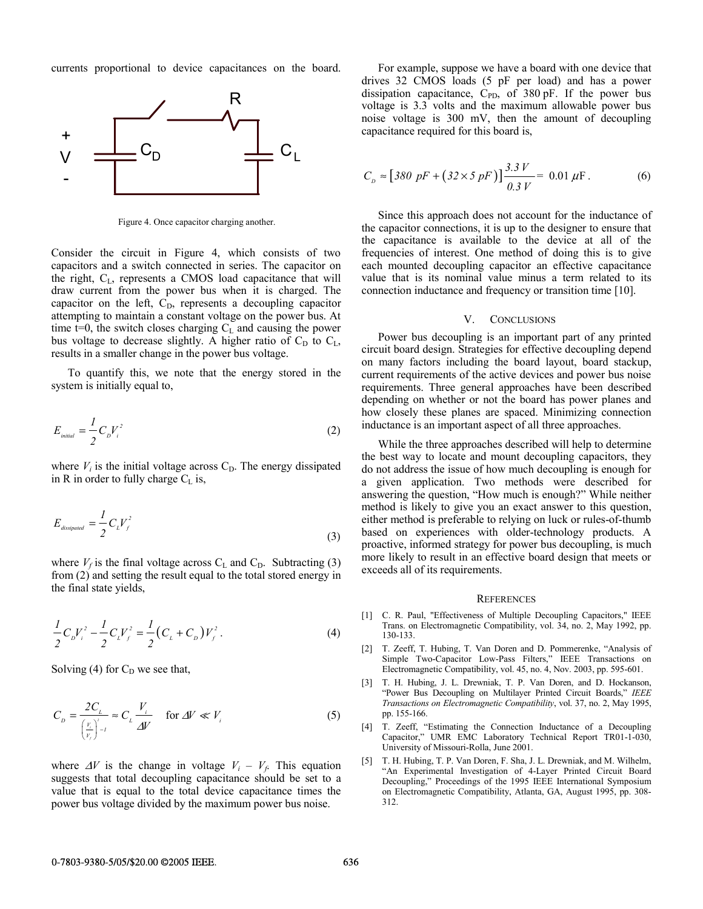currents proportional to device capacitances on the board.



Figure 4. Once capacitor charging another.

Consider the circuit in Figure 4, which consists of two capacitors and a switch connected in series. The capacitor on the right,  $C_{L}$ , represents a CMOS load capacitance that will draw current from the power bus when it is charged. The capacitor on the left,  $C<sub>D</sub>$ , represents a decoupling capacitor attempting to maintain a constant voltage on the power bus. At time t=0, the switch closes charging  $C<sub>L</sub>$  and causing the power bus voltage to decrease slightly. A higher ratio of  $C_D$  to  $C_L$ , results in a smaller change in the power bus voltage.

To quantify this, we note that the energy stored in the system is initially equal to,

$$
E_{initial} = \frac{1}{2} C_D V_i^2
$$
 (2)

where  $V_i$  is the initial voltage across  $C_D$ . The energy dissipated in R in order to fully charge  $C_L$  is,

$$
E_{\text{dissipated}} = \frac{1}{2} C_L V_f^2 \tag{3}
$$

where  $V_f$  is the final voltage across  $C_L$  and  $C_D$ . Subtracting (3) from (2) and setting the result equal to the total stored energy in the final state yields,

$$
\frac{1}{2}C_{D}V_{i}^{2} - \frac{1}{2}C_{L}V_{f}^{2} = \frac{1}{2}(C_{L} + C_{D})V_{f}^{2}. \tag{4}
$$

Solving (4) for  $C_D$  we see that,

$$
C_{D} = \frac{2C_{L}}{\left(\frac{V_{i}}{V_{f}}\right)^{2}-1} \approx C_{L} \frac{V_{i}}{\Delta V} \quad \text{for } \Delta V \ll V_{i}
$$
 (5)

where  $\Delta V$  is the change in voltage  $V_i - V_f$ . This equation suggests that total decoupling capacitance should be set to a value that is equal to the total device capacitance times the power bus voltage divided by the maximum power bus noise.

For example, suppose we have a board with one device that drives 32 CMOS loads (5 pF per load) and has a power dissipation capacitance,  $C_{PD}$ , of 380 pF. If the power bus voltage is 3.3 volts and the maximum allowable power bus noise voltage is 300 mV, then the amount of decoupling capacitance required for this board is,

$$
C_{D} \approx [380 \text{ pF} + (32 \times 5 \text{ pF})] \frac{3.3 \text{ V}}{0.3 \text{ V}} = 0.01 \text{ \mu F}. \tag{6}
$$

Since this approach does not account for the inductance of the capacitor connections, it is up to the designer to ensure that the capacitance is available to the device at all of the frequencies of interest. One method of doing this is to give each mounted decoupling capacitor an effective capacitance value that is its nominal value minus a term related to its connection inductance and frequency or transition time [10].

#### V. CONCLUSIONS

Power bus decoupling is an important part of any printed circuit board design. Strategies for effective decoupling depend on many factors including the board layout, board stackup, current requirements of the active devices and power bus noise requirements. Three general approaches have been described depending on whether or not the board has power planes and how closely these planes are spaced. Minimizing connection inductance is an important aspect of all three approaches.

While the three approaches described will help to determine the best way to locate and mount decoupling capacitors, they do not address the issue of how much decoupling is enough for a given application. Two methods were described for answering the question, "How much is enough?" While neither method is likely to give you an exact answer to this question, either method is preferable to relying on luck or rules-of-thumb based on experiences with older-technology products. A proactive, informed strategy for power bus decoupling, is much more likely to result in an effective board design that meets or exceeds all of its requirements.

#### **REFERENCES**

- [1] C. R. Paul, "Effectiveness of Multiple Decoupling Capacitors," IEEE Trans. on Electromagnetic Compatibility, vol. 34, no. 2, May 1992, pp. 130-133.
- [2] T. Zeeff, T. Hubing, T. Van Doren and D. Pommerenke, "Analysis of Simple Two-Capacitor Low-Pass Filters," IEEE Transactions on Electromagnetic Compatibility, vol. 45, no. 4, Nov. 2003, pp. 595-601.
- [3] T. H. Hubing, J. L. Drewniak, T. P. Van Doren, and D. Hockanson, "Power Bus Decoupling on Multilayer Printed Circuit Boards," *IEEE Transactions on Electromagnetic Compatibility*, vol. 37, no. 2, May 1995, pp. 155-166.
- [4] T. Zeeff, "Estimating the Connection Inductance of a Decoupling Capacitor," UMR EMC Laboratory Technical Report TR01-1-030, University of Missouri-Rolla, June 2001.
- [5] T. H. Hubing, T. P. Van Doren, F. Sha, J. L. Drewniak, and M. Wilhelm, "An Experimental Investigation of 4-Layer Printed Circuit Board Decoupling," Proceedings of the 1995 IEEE International Symposium on Electromagnetic Compatibility, Atlanta, GA, August 1995, pp. 308- 312.